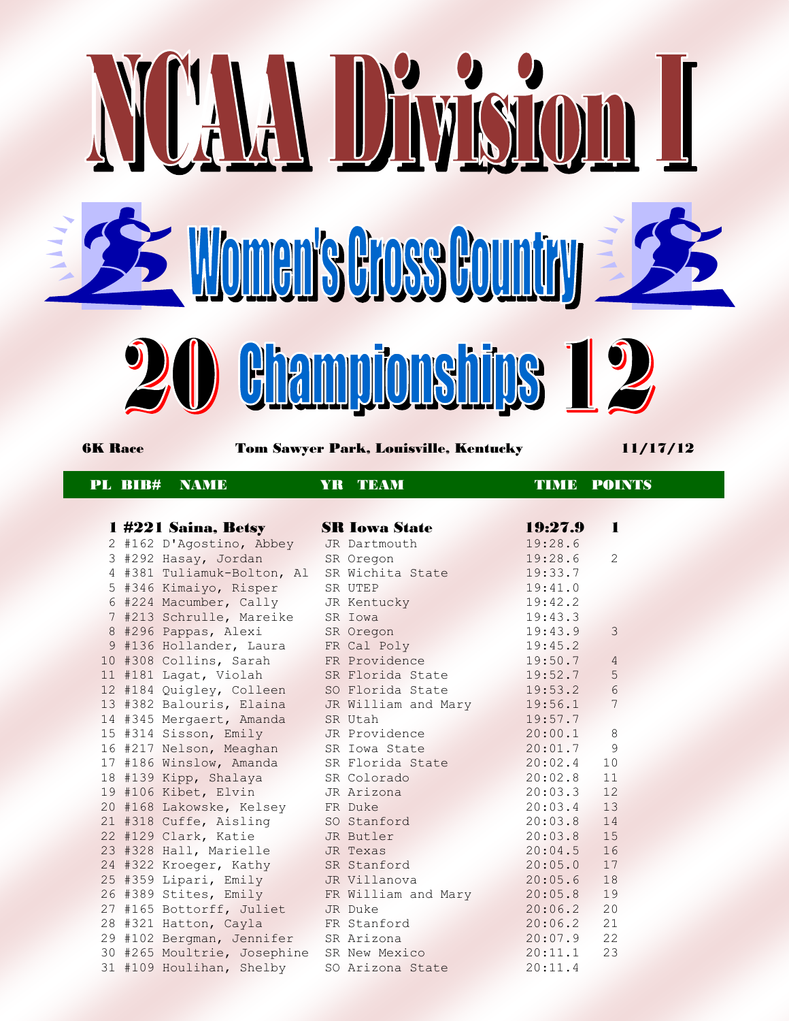

6K Race Tom Sawyer Park, Louisville, Kentucky 11/17/12

## PL BIB# NAME YR TEAM TIME POINTS

|                 |         | 1 #221 Saina, Betsy      | SR          |
|-----------------|---------|--------------------------|-------------|
|                 |         | 2 #162 D'Agostino, Abbey | <b>JR</b>   |
|                 | 3 #292  | Hasay, Jordan            | <b>SR</b>   |
| $4\overline{ }$ | #381    | Tuliamuk-Bolton, Al      | SR          |
| 5               | #346    | Kimaiyo, Risper          | SR          |
| $6\overline{}$  | #224    | Macumber, Cally          | JR          |
|                 |         | 7 #213 Schrulle, Mareike | SR          |
| 8               | #296    | Pappas, Alexi            | SR          |
| 9               | #136    | Hollander, Laura         | FR          |
|                 | 10 #308 | Collins, Sarah           | FR          |
|                 | 11 #181 | Lagat, Violah            | <b>SR</b>   |
|                 | 12 #184 | Quigley, Colleen         | SO          |
|                 | 13 #382 | Balouris, Elaina         | <b>JR</b>   |
| 14              | #345    | Mergaert, Amanda         | <b>SR</b>   |
|                 | 15 #314 | Sisson, Emily            | <b>JR</b>   |
|                 | 16 #217 | Nelson, Meaghan          | SR          |
|                 | 17 #186 | Winslow, Amanda          | $_{\rm SR}$ |
|                 | 18 #139 | Kipp, Shalaya            | SR          |
|                 | 19 #106 | Kibet, Elvin             | JR          |
|                 | 20 #168 | Lakowske, Kelsey         | FR          |
|                 | 21 #318 | Cuffe, Aisling           | SO          |
|                 | 22 #129 | Clark, Katie             | <b>JR</b>   |
|                 | 23 #328 | Hall, Marielle           | JR.         |
| 24              | #322    | Kroeger, Kathy           | <b>SR</b>   |
| 25              | #359    | Lipari, Emily            | <b>JR</b>   |
|                 | 26 #389 | Stites, Emily            | <b>FR</b>   |
|                 | 27 #165 | Bottorff, Juliet         | <b>JR</b>   |
|                 | 28 #321 | Hatton, Cayla            | <b>FR</b>   |
|                 | 29 #102 | Bergman, Jennifer        | SR          |
|                 | 30 #265 | Moultrie, Josephine      | <b>SR</b>   |
|                 |         | 31 #109 Houlihan, Shelby | SO          |

|  | 1 #221 Saina, Betsy         | <b>SR Iowa State</b> | 19:27.9 | 1               |
|--|-----------------------------|----------------------|---------|-----------------|
|  | 2 #162 D'Agostino, Abbey    | JR Dartmouth         | 19:28.6 |                 |
|  | 3 #292 Hasay, Jordan        | SR Oregon            | 19:28.6 | $\overline{2}$  |
|  | 4 #381 Tuliamuk-Bolton, Al  | SR Wichita State     | 19:33.7 |                 |
|  | 5 #346 Kimaiyo, Risper      | SR UTEP              | 19:41.0 |                 |
|  | 6 #224 Macumber, Cally      | JR Kentucky          | 19:42.2 |                 |
|  | 7 #213 Schrulle, Mareike    | SR Iowa              | 19:43.3 |                 |
|  | 8 #296 Pappas, Alexi        | SR Oregon            | 19:43.9 | 3               |
|  | 9 #136 Hollander, Laura     | FR Cal Poly          | 19:45.2 |                 |
|  | 10 #308 Collins, Sarah      | FR Providence        | 19:50.7 | $\overline{4}$  |
|  | 11 #181 Lagat, Violah       | SR Florida State     | 19:52.7 | $\overline{5}$  |
|  | 12 #184 Quigley, Colleen    | SO Florida State     | 19:53.2 | $\sqrt{6}$      |
|  | 13 #382 Balouris, Elaina    | JR William and Mary  | 19:56.1 | $7\overline{ }$ |
|  | 14 #345 Mergaert, Amanda    | SR Utah              | 19:57.7 |                 |
|  | 15 #314 Sisson, Emily       | JR Providence        | 20:00.1 | 8               |
|  | 16 #217 Nelson, Meaghan     | SR Iowa State        | 20:01.7 | 9               |
|  | 17 #186 Winslow, Amanda     | SR Florida State     | 20:02.4 | 10              |
|  | 18 #139 Kipp, Shalaya       | SR Colorado          | 20:02.8 | 11              |
|  | 19 #106 Kibet, Elvin        | JR Arizona           | 20:03.3 | 12              |
|  | 20 #168 Lakowske, Kelsey    | FR Duke              | 20:03.4 | 13              |
|  | 21 #318 Cuffe, Aisling      | SO Stanford          | 20:03.8 | 14              |
|  | 22 #129 Clark, Katie        | JR Butler            | 20:03.8 | 15              |
|  | 23 #328 Hall, Marielle      | JR Texas             | 20:04.5 | 16              |
|  | 24 #322 Kroeger, Kathy      | SR Stanford          | 20:05.0 | 17              |
|  | 25 #359 Lipari, Emily       | JR Villanova         | 20:05.6 | 18              |
|  | 26 #389 Stites, Emily       | FR William and Mary  | 20:05.8 | 19              |
|  | 27 #165 Bottorff, Juliet    | JR Duke              | 20:06.2 | 20              |
|  | 28 #321 Hatton, Cayla       | FR Stanford          | 20:06.2 | 21              |
|  | 29 #102 Bergman, Jennifer   | SR Arizona           | 20:07.9 | 22              |
|  | 30 #265 Moultrie, Josephine | SR New Mexico        | 20:11.1 | 23              |
|  | 31 #109 Houlihan, Shelby    | SO Arizona State     | 20:11.4 |                 |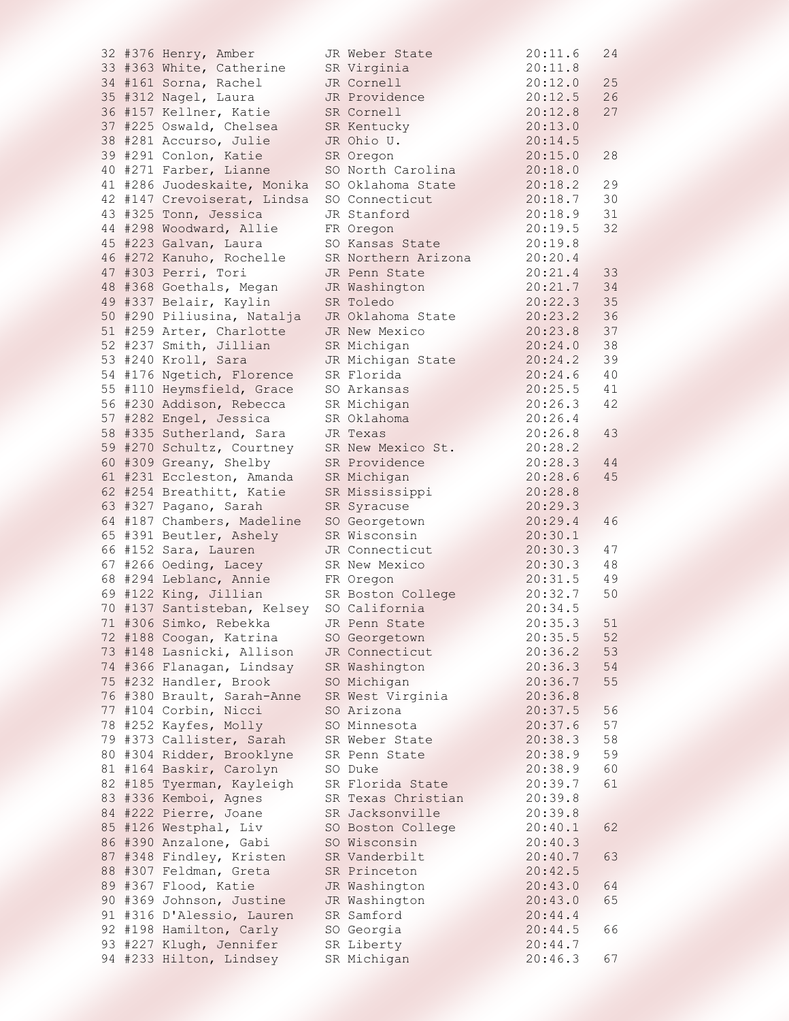|  | 32 #376 Henry, Amber        | JR Weber State               | 20:11.6 | 24 |
|--|-----------------------------|------------------------------|---------|----|
|  | 33 #363 White, Catherine    | SR Virginia                  | 20:11.8 |    |
|  | 34 #161 Sorna, Rachel       | JR Cornell                   | 20:12.0 | 25 |
|  | 35 #312 Nagel, Laura        | JR Providence                | 20:12.5 | 26 |
|  | 36 #157 Kellner, Katie      | SR Cornell                   | 20:12.8 | 27 |
|  | 37 #225 Oswald, Chelsea     | SR Kentucky                  | 20:13.0 |    |
|  | 38 #281 Accurso, Julie      | JR Ohio U.                   | 20:14.5 |    |
|  | 39 #291 Conlon, Katie       | SR Oregon                    | 20:15.0 | 28 |
|  | 40 #271 Farber, Lianne      | SO North Carolina            | 20:18.0 |    |
|  | 41 #286 Juodeskaite, Monika | SO Oklahoma State            | 20:18.2 | 29 |
|  | 42 #147 Crevoiserat, Lindsa | SO Connecticut               | 20:18.7 | 30 |
|  | 43 #325 Tonn, Jessica       | JR Stanford                  | 20:18.9 | 31 |
|  | 44 #298 Woodward, Allie     |                              | 20:19.5 | 32 |
|  |                             | FR Oregon<br>SO Kansas State |         |    |
|  | 45 #223 Galvan, Laura       |                              | 20:19.8 |    |
|  | 46 #272 Kanuho, Rochelle    | SR Northern Arizona          | 20:20.4 |    |
|  | 47 #303 Perri, Tori         | JR Penn State                | 20:21.4 | 33 |
|  | 48 #368 Goethals, Megan     | JR Washington                | 20:21.7 | 34 |
|  | 49 #337 Belair, Kaylin      | SR Toledo                    | 20:22.3 | 35 |
|  | 50 #290 Piliusina, Natalja  | JR Oklahoma State            | 20:23.2 | 36 |
|  | 51 #259 Arter, Charlotte    | JR New Mexico                | 20:23.8 | 37 |
|  | 52 #237 Smith, Jillian      | SR Michigan                  | 20:24.0 | 38 |
|  | 53 #240 Kroll, Sara         | JR Michigan State            | 20:24.2 | 39 |
|  | 54 #176 Ngetich, Florence   | SR Florida                   | 20:24.6 | 40 |
|  | 55 #110 Heymsfield, Grace   | SO Arkansas                  | 20:25.5 | 41 |
|  | 56 #230 Addison, Rebecca    | SR Michigan                  | 20:26.3 | 42 |
|  | 57 #282 Engel, Jessica      | SR Oklahoma                  | 20:26.4 |    |
|  | 58 #335 Sutherland, Sara    | JR Texas                     | 20:26.8 | 43 |
|  | 59 #270 Schultz, Courtney   | SR New Mexico St.            | 20:28.2 |    |
|  | 60 #309 Greany, Shelby      | SR Providence                | 20:28.3 | 44 |
|  | 61 #231 Eccleston, Amanda   | SR Michigan                  | 20:28.6 | 45 |
|  | 62 #254 Breathitt, Katie    | SR Mississippi               | 20:28.8 |    |
|  | 63 #327 Pagano, Sarah       | SR Syracuse                  | 20:29.3 |    |
|  | 64 #187 Chambers, Madeline  | SO Georgetown                | 20:29.4 | 46 |
|  | 65 #391 Beutler, Ashely     | SR Wisconsin                 | 20:30.1 |    |
|  | 66 #152 Sara, Lauren        | JR Connecticut               | 20:30.3 | 47 |
|  | 67 #266 Oeding, Lacey       | SR New Mexico                | 20:30.3 | 48 |
|  | 68 #294 Leblanc, Annie      | FR Oregon                    | 20:31.5 | 49 |
|  | 69 #122 King, Jillian       | SR Boston College            | 20:32.7 | 50 |
|  | 70 #137 Santisteban, Kelsey | SO California                | 20:34.5 |    |
|  | 71 #306 Simko, Rebekka      | JR Penn State                | 20:35.3 | 51 |
|  | 72 #188 Coogan, Katrina     | SO Georgetown                | 20:35.5 | 52 |
|  | 73 #148 Lasnicki, Allison   | JR Connecticut               | 20:36.2 | 53 |
|  | 74 #366 Flanagan, Lindsay   |                              |         |    |
|  | 75 #232 Handler, Brook      | SR Washington                | 20:36.3 | 54 |
|  |                             | SO Michigan                  | 20:36.7 | 55 |
|  | 76 #380 Brault, Sarah-Anne  | SR West Virginia             | 20:36.8 |    |
|  | 77 #104 Corbin, Nicci       | SO Arizona                   | 20:37.5 | 56 |
|  | 78 #252 Kayfes, Molly       | SO Minnesota                 | 20:37.6 | 57 |
|  | 79 #373 Callister, Sarah    | SR Weber State               | 20:38.3 | 58 |
|  | 80 #304 Ridder, Brooklyne   | SR Penn State                | 20:38.9 | 59 |
|  | 81 #164 Baskir, Carolyn     | SO Duke                      | 20:38.9 | 60 |
|  | 82 #185 Tyerman, Kayleigh   | SR Florida State             | 20:39.7 | 61 |
|  | 83 #336 Kemboi, Agnes       | SR Texas Christian           | 20:39.8 |    |
|  | 84 #222 Pierre, Joane       | SR Jacksonville              | 20:39.8 |    |
|  | 85 #126 Westphal, Liv       | SO Boston College            | 20:40.1 | 62 |
|  | 86 #390 Anzalone, Gabi      | SO Wisconsin                 | 20:40.3 |    |
|  | 87 #348 Findley, Kristen    | SR Vanderbilt                | 20:40.7 | 63 |
|  | 88 #307 Feldman, Greta      | SR Princeton                 | 20:42.5 |    |
|  | 89 #367 Flood, Katie        | JR Washington                | 20:43.0 | 64 |
|  | 90 #369 Johnson, Justine    | JR Washington                | 20:43.0 | 65 |
|  | 91 #316 D'Alessio, Lauren   | SR Samford                   | 20:44.4 |    |
|  | 92 #198 Hamilton, Carly     | SO Georgia                   | 20:44.5 | 66 |
|  | 93 #227 Klugh, Jennifer     | SR Liberty                   | 20:44.7 |    |
|  | 94 #233 Hilton, Lindsey     | SR Michigan                  | 20:46.3 | 67 |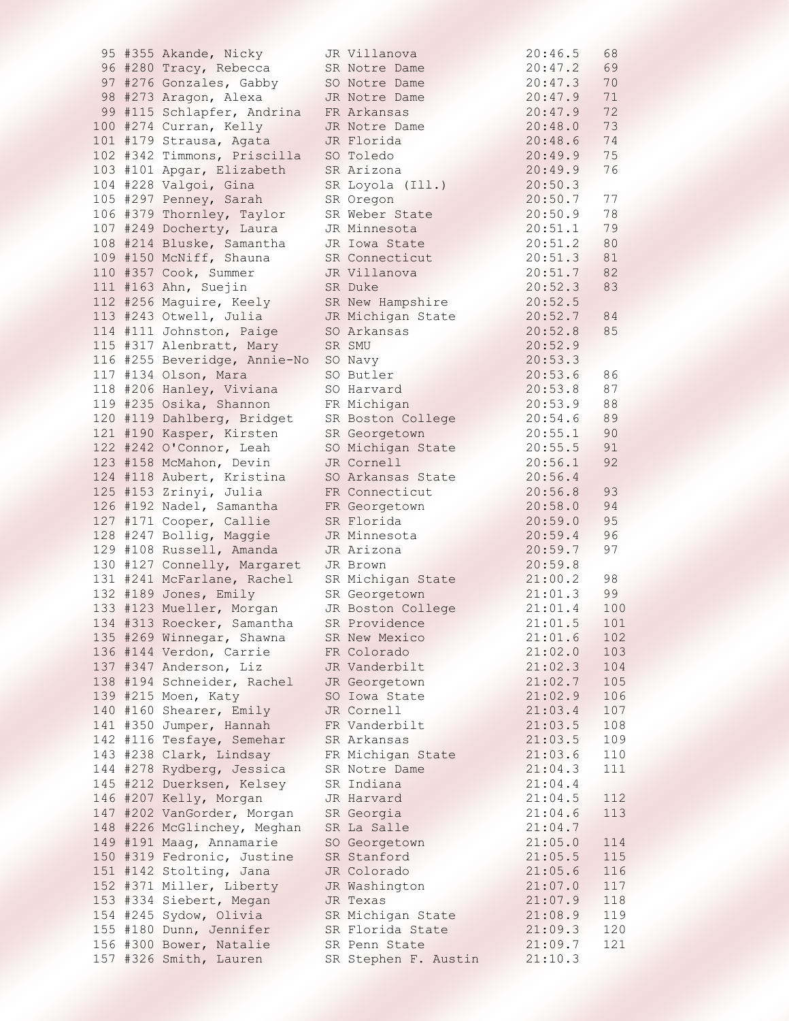|  | 95 #355 Akande, Nicky        | JR Villanova         | 20:46.5 | 68  |
|--|------------------------------|----------------------|---------|-----|
|  | 96 #280 Tracy, Rebecca       | SR Notre Dame        | 20:47.2 | 69  |
|  | 97 #276 Gonzales, Gabby      | SO Notre Dame        | 20:47.3 | 70  |
|  | 98 #273 Aragon, Alexa        | JR Notre Dame        | 20:47.9 | 71  |
|  | 99 #115 Schlapfer, Andrina   | FR Arkansas          | 20:47.9 | 72  |
|  | 100 #274 Curran, Kelly       | JR Notre Dame        | 20:48.0 | 73  |
|  | 101 #179 Strausa, Agata      | JR Florida           | 20:48.6 | 74  |
|  | 102 #342 Timmons, Priscilla  | SO Toledo            | 20:49.9 | 75  |
|  | 103 #101 Apgar, Elizabeth    | SR Arizona           | 20:49.9 | 76  |
|  | 104 #228 Valgoi, Gina        | SR Loyola (Ill.)     | 20:50.3 |     |
|  | 105 #297 Penney, Sarah       | SR Oregon            | 20:50.7 | 77  |
|  | 106 #379 Thornley, Taylor    | SR Weber State       | 20:50.9 | 78  |
|  | 107 #249 Docherty, Laura     | JR Minnesota         | 20:51.1 | 79  |
|  | 108 #214 Bluske, Samantha    | JR Iowa State        | 20:51.2 | 80  |
|  | 109 #150 McNiff, Shauna      | SR Connecticut       | 20:51.3 | 81  |
|  | 110 #357 Cook, Summer        | JR Villanova         | 20:51.7 | 82  |
|  | 111 #163 Ahn, Suejin         | SR Duke              | 20:52.3 | 83  |
|  |                              |                      | 20:52.5 |     |
|  | 112 #256 Maguire, Keely      | SR New Hampshire     |         |     |
|  | 113 #243 Otwell, Julia       | JR Michigan State    | 20:52.7 | 84  |
|  | 114 #111 Johnston, Paige     | SO Arkansas          | 20:52.8 | 85  |
|  | 115 #317 Alenbratt, Mary     | SR SMU               | 20:52.9 |     |
|  | 116 #255 Beveridge, Annie-No | SO Navy              | 20:53.3 |     |
|  | 117 #134 Olson, Mara         | SO Butler            | 20:53.6 | 86  |
|  | 118 #206 Hanley, Viviana     | SO Harvard           | 20:53.8 | 87  |
|  | 119 #235 Osika, Shannon      | FR Michigan          | 20:53.9 | 88  |
|  | 120 #119 Dahlberg, Bridget   | SR Boston College    | 20:54.6 | 89  |
|  | 121 #190 Kasper, Kirsten     | SR Georgetown        | 20:55.1 | 90  |
|  | 122 #242 O'Connor, Leah      | SO Michigan State    | 20:55.5 | 91  |
|  | 123 #158 McMahon, Devin      | JR Cornell           | 20:56.1 | 92  |
|  | 124 #118 Aubert, Kristina    | SO Arkansas State    | 20:56.4 |     |
|  | 125 #153 Zrinyi, Julia       | FR Connecticut       | 20:56.8 | 93  |
|  | 126 #192 Nadel, Samantha     | FR Georgetown        | 20:58.0 | 94  |
|  | 127 #171 Cooper, Callie      | SR Florida           | 20:59.0 | 95  |
|  | 128 #247 Bollig, Maggie      | JR Minnesota         | 20:59.4 | 96  |
|  | 129 #108 Russell, Amanda     | JR Arizona           | 20:59.7 | 97  |
|  | 130 #127 Connelly, Margaret  | JR Brown             | 20:59.8 |     |
|  | 131 #241 McFarlane, Rachel   | SR Michigan State    | 21:00.2 | 98  |
|  | 132 #189 Jones, Emily        | SR Georgetown        | 21:01.3 | 99  |
|  | 133 #123 Mueller, Morgan     | JR Boston College    | 21:01.4 | 100 |
|  | 134 #313 Roecker, Samantha   | SR Providence        | 21:01.5 | 101 |
|  | 135 #269 Winnegar, Shawna    | SR New Mexico        | 21:01.6 | 102 |
|  | 136 #144 Verdon, Carrie      | FR Colorado          | 21:02.0 | 103 |
|  | 137 #347 Anderson, Liz       | JR Vanderbilt        | 21:02.3 | 104 |
|  | 138 #194 Schneider, Rachel   | JR Georgetown        | 21:02.7 | 105 |
|  | 139 #215 Moen, Katy          | SO Iowa State        | 21:02.9 | 106 |
|  | 140 #160 Shearer, Emily      | JR Cornell           | 21:03.4 | 107 |
|  | 141 #350 Jumper, Hannah      | FR Vanderbilt        | 21:03.5 | 108 |
|  | 142 #116 Tesfaye, Semehar    | SR Arkansas          | 21:03.5 | 109 |
|  | 143 #238 Clark, Lindsay      | FR Michigan State    | 21:03.6 | 110 |
|  | 144 #278 Rydberg, Jessica    | SR Notre Dame        | 21:04.3 | 111 |
|  | 145 #212 Duerksen, Kelsey    | SR Indiana           | 21:04.4 |     |
|  | 146 #207 Kelly, Morgan       | JR Harvard           | 21:04.5 | 112 |
|  | 147 #202 VanGorder, Morgan   | SR Georgia           | 21:04.6 | 113 |
|  | 148 #226 McGlinchey, Meghan  | SR La Salle          | 21:04.7 |     |
|  | 149 #191 Maag, Annamarie     | SO Georgetown        | 21:05.0 | 114 |
|  |                              | SR Stanford          |         | 115 |
|  | 150 #319 Fedronic, Justine   |                      | 21:05.5 |     |
|  | 151 #142 Stolting, Jana      | JR Colorado          | 21:05.6 | 116 |
|  | 152 #371 Miller, Liberty     | JR Washington        | 21:07.0 | 117 |
|  | 153 #334 Siebert, Megan      | JR Texas             | 21:07.9 | 118 |
|  | 154 #245 Sydow, Olivia       | SR Michigan State    | 21:08.9 | 119 |
|  | 155 #180 Dunn, Jennifer      | SR Florida State     | 21:09.3 | 120 |
|  | 156 #300 Bower, Natalie      | SR Penn State        | 21:09.7 | 121 |
|  | 157 #326 Smith, Lauren       | SR Stephen F. Austin | 21:10.3 |     |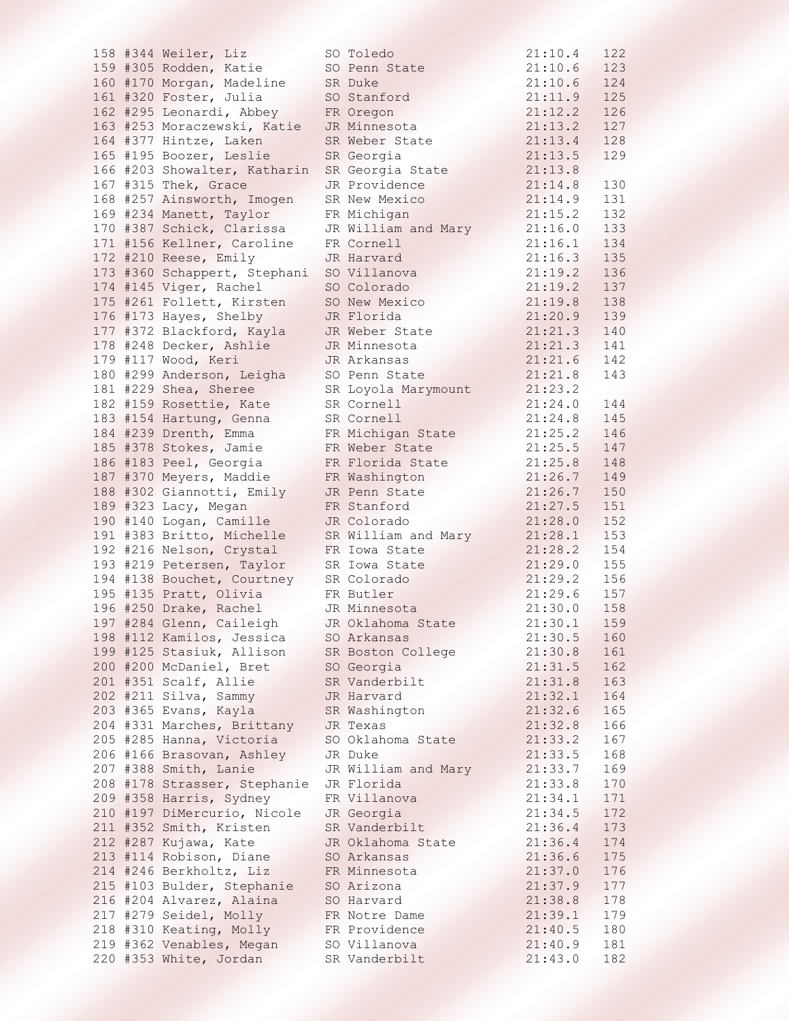|  | 158 #344 Weiler, Liz         | SO Toledo           | 21:10.4 | 122 |
|--|------------------------------|---------------------|---------|-----|
|  | 159 #305 Rodden, Katie       | SO Penn State       | 21:10.6 | 123 |
|  | 160 #170 Morgan, Madeline    | SR Duke             | 21:10.6 | 124 |
|  | 161 #320 Foster, Julia       | SO Stanford         | 21:11.9 | 125 |
|  | 162 #295 Leonardi, Abbey     | FR Oregon           | 21:12.2 | 126 |
|  | 163 #253 Moraczewski, Katie  | JR Minnesota        | 21:13.2 | 127 |
|  | 164 #377 Hintze, Laken       | SR Weber State      | 21:13.4 | 128 |
|  | 165 #195 Boozer, Leslie      | SR Georgia          | 21:13.5 | 129 |
|  | 166 #203 Showalter, Katharin | SR Georgia State    | 21:13.8 |     |
|  | 167 #315 Thek, Grace         | JR Providence       | 21:14.8 | 130 |
|  | 168 #257 Ainsworth, Imogen   | SR New Mexico       | 21:14.9 | 131 |
|  | 169 #234 Manett, Taylor      | FR Michigan         | 21:15.2 | 132 |
|  | 170 #387 Schick, Clarissa    | JR William and Mary | 21:16.0 | 133 |
|  | 171 #156 Kellner, Caroline   | FR Cornell          | 21:16.1 | 134 |
|  | 172 #210 Reese, Emily        | JR Harvard          | 21:16.3 | 135 |
|  | 173 #360 Schappert, Stephani | SO Villanova        | 21:19.2 | 136 |
|  | 174 #145 Viger, Rachel       | SO Colorado         | 21:19.2 | 137 |
|  | 175 #261 Follett, Kirsten    | SO New Mexico       | 21:19.8 | 138 |
|  | 176 #173 Hayes, Shelby       | JR Florida          | 21:20.9 | 139 |
|  | 177 #372 Blackford, Kayla    | JR Weber State      | 21:21.3 | 140 |
|  | 178 #248 Decker, Ashlie      | JR Minnesota        | 21:21.3 | 141 |
|  | 179 #117 Wood, Keri          | JR Arkansas         | 21:21.6 | 142 |
|  | 180 #299 Anderson, Leigha    | SO Penn State       | 21:21.8 | 143 |
|  | 181 #229 Shea, Sheree        | SR Loyola Marymount | 21:23.2 |     |
|  | 182 #159 Rosettie, Kate      | SR Cornell          | 21:24.0 | 144 |
|  | 183 #154 Hartung, Genna      | SR Cornell          | 21:24.8 | 145 |
|  | 184 #239 Drenth, Emma        | FR Michigan State   | 21:25.2 | 146 |
|  | 185 #378 Stokes, Jamie       | FR Weber State      | 21:25.5 | 147 |
|  | 186 #183 Peel, Georgia       | FR Florida State    | 21:25.8 | 148 |
|  | 187 #370 Meyers, Maddie      | FR Washington       | 21:26.7 | 149 |
|  | 188 #302 Giannotti, Emily    | JR Penn State       | 21:26.7 | 150 |
|  | 189 #323 Lacy, Megan         | FR Stanford         | 21:27.5 | 151 |
|  | 190 #140 Logan, Camille      | JR Colorado         | 21:28.0 | 152 |
|  | 191 #383 Britto, Michelle    | SR William and Mary | 21:28.1 | 153 |
|  | 192 #216 Nelson, Crystal     | FR Iowa State       | 21:28.2 | 154 |
|  | 193 #219 Petersen, Taylor    | SR Iowa State       | 21:29.0 | 155 |
|  | 194 #138 Bouchet, Courtney   | SR Colorado         | 21:29.2 | 156 |
|  | 195 #135 Pratt, Olivia       | FR Butler           | 21:29.6 | 157 |
|  | 196 #250 Drake, Rachel       | JR Minnesota        | 21:30.0 | 158 |
|  | 197 #284 Glenn, Caileigh     | JR Oklahoma State   | 21:30.1 | 159 |
|  | 198 #112 Kamilos, Jessica    | SO Arkansas         | 21:30.5 | 160 |
|  | 199 #125 Stasiuk, Allison    | SR Boston College   | 21:30.8 | 161 |
|  | 200 #200 McDaniel, Bret      | SO Georgia          | 21:31.5 | 162 |
|  | 201 #351 Scalf, Allie        | SR Vanderbilt       | 21:31.8 | 163 |
|  | 202 #211 Silva, Sammy        | JR Harvard          | 21:32.1 | 164 |
|  | 203 #365 Evans, Kayla        | SR Washington       | 21:32.6 | 165 |
|  | 204 #331 Marches, Brittany   | JR Texas            | 21:32.8 | 166 |
|  | 205 #285 Hanna, Victoria     | SO Oklahoma State   | 21:33.2 | 167 |
|  | 206 #166 Brasovan, Ashley    | JR Duke             | 21:33.5 | 168 |
|  | 207 #388 Smith, Lanie        | JR William and Mary | 21:33.7 | 169 |
|  | 208 #178 Strasser, Stephanie | JR Florida          | 21:33.8 | 170 |
|  | 209 #358 Harris, Sydney      | FR Villanova        | 21:34.1 | 171 |
|  | 210 #197 DiMercurio, Nicole  | JR Georgia          | 21:34.5 | 172 |
|  | 211 #352 Smith, Kristen      | SR Vanderbilt       | 21:36.4 | 173 |
|  | 212 #287 Kujawa, Kate        | JR Oklahoma State   | 21:36.4 | 174 |
|  | 213 #114 Robison, Diane      | SO Arkansas         | 21:36.6 | 175 |
|  | 214 #246 Berkholtz, Liz      | FR Minnesota        | 21:37.0 | 176 |
|  | 215 #103 Bulder, Stephanie   | SO Arizona          | 21:37.9 | 177 |
|  | 216 #204 Alvarez, Alaina     | SO Harvard          | 21:38.8 | 178 |
|  | 217 #279 Seidel, Molly       | FR Notre Dame       | 21:39.1 | 179 |
|  | 218 #310 Keating, Molly      | FR Providence       | 21:40.5 | 180 |
|  | 219 #362 Venables, Megan     | SO Villanova        | 21:40.9 | 181 |
|  | 220 #353 White, Jordan       | SR Vanderbilt       | 21:43.0 | 182 |
|  |                              |                     |         |     |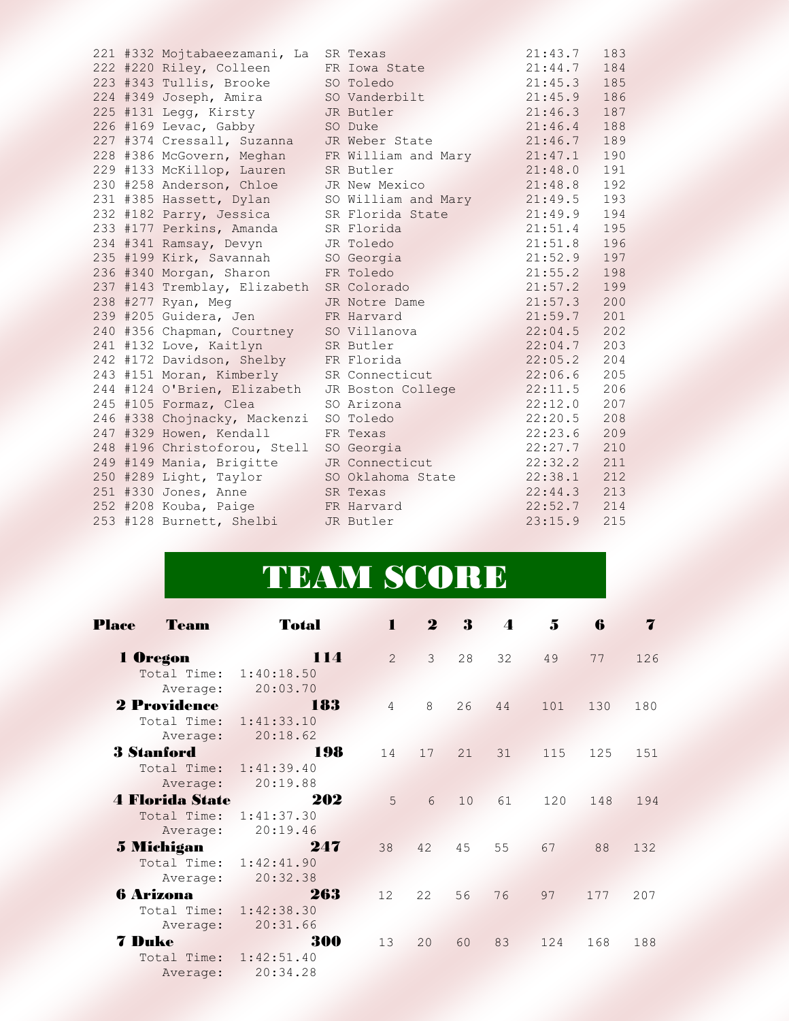|  | 221 #332 Mojtabaeezamani, La SR Texas |                     | $21:43.7$ 183 |     |
|--|---------------------------------------|---------------------|---------------|-----|
|  | 222 #220 Riley, Colleen               | FR Iowa State       | $21:44.7$ 184 |     |
|  | 223 #343 Tullis, Brooke SO Toledo     |                     | $21:45.3$ 185 |     |
|  | 224 #349 Joseph, Amira                | SO Vanderbilt       | 21:45.9 186   |     |
|  | 225 #131 Legg, Kirsty                 | JR Butler           | $21:46.3$ 187 |     |
|  | 226 #169 Levac, Gabby                 | SO Duke             | $21:46.4$ 188 |     |
|  | 227 #374 Cressall, Suzanna            | JR Weber State      | 21:46.7       | 189 |
|  | 228 #386 McGovern, Meghan             | FR William and Mary | 21:47.1       | 190 |
|  | 229 #133 McKillop, Lauren             | SR Butler           | 21:48.0 191   |     |
|  | 230 #258 Anderson, Chloe              | JR New Mexico       | $21:48.8$ 192 |     |
|  | 231 #385 Hassett, Dylan               | SO William and Mary | $21:49.5$ 193 |     |
|  | 232 #182 Parry, Jessica               | SR Florida State    | $21:49.9$ 194 |     |
|  | 233 #177 Perkins, Amanda              | SR Florida          | 21:51.4       | 195 |
|  | 234 #341 Ramsay, Devyn                | JR Toledo           | 21:51.8 196   |     |
|  | 235 #199 Kirk, Savannah               | SO Georgia          | $21:52.9$ 197 |     |
|  | 236 #340 Morgan, Sharon               | FR Toledo           | 21:55.2       | 198 |
|  | 237 #143 Tremblay, Elizabeth          | SR Colorado         | 21:57.2       | 199 |
|  | 238 #277 Ryan, Meg                    | JR Notre Dame       | $21:57.3$ 200 |     |
|  | 239 #205 Guidera, Jen                 | FR Harvard          | $21:59.7$ 201 |     |
|  | 240 #356 Chapman, Courtney            | SO Villanova        | $22:04.5$ 202 |     |
|  | 241 #132 Love, Kaitlyn                | SR Butler           | 22:04.7 203   |     |
|  | 242 #172 Davidson, Shelby             | FR Florida          | 22:05.2 204   |     |
|  | 243 #151 Moran, Kimberly              | SR Connecticut      | 22:06.6       | 205 |
|  | 244 #124 O'Brien, Elizabeth           | JR Boston College   | 22:11.5       | 206 |
|  | 245 #105 Formaz, Clea                 | SO Arizona          | $22:12.0$ 207 |     |
|  | 246 #338 Chojnacky, Mackenzi          | SO Toledo           | $22:20.5$ 208 |     |
|  | 247 #329 Howen, Kendall               | FR Texas            | 22:23.6 209   |     |
|  | 248 #196 Christoforou, Stell          | SO Georgia          | $22:27.7$ 210 |     |
|  | 249 #149 Mania, Brigitte              | JR Connecticut      | 22:32.2       | 211 |
|  | 250 #289 Light, Taylor                | SO Oklahoma State   | $22:38.1$ 212 |     |
|  | 251 #330 Jones, Anne                  | SR Texas            | $22:44.3$ 213 |     |
|  | 252 #208 Kouba, Paige FR Harvard      |                     | $22:52.7$ 214 |     |
|  | 253 #128 Burnett, Shelbi JR Butler    |                     | 23:15.9 215   |     |
|  |                                       |                     |               |     |

## TEAM SCORE

| <b>Place</b>  | Team                                              | <b>Total</b>                                         | $\mathbf{I}$   | $\boldsymbol{2}$ | 3  | $\overline{4}$ | 5   | 6   | 7   |
|---------------|---------------------------------------------------|------------------------------------------------------|----------------|------------------|----|----------------|-----|-----|-----|
|               | 1 Oregon<br>Total Time:                           | 114<br>1:40:18.50                                    | $\mathcal{L}$  | $\mathcal{E}$    | 28 | 32             | 49  | 77  | 126 |
|               | Average:                                          | 20:03.70                                             |                |                  |    |                |     |     |     |
|               | 2 Providence<br>Total Time:<br>Average:           | 183<br>1:41:33.10<br>20:18.62<br>XX X                | $\overline{4}$ | 8                | 26 | 44             | 101 | 130 | 180 |
|               | <b>3 Stanford</b><br>Average:                     | 198<br>Total Time: 1:41:39.40<br>20:19.88<br>S 1992. | 14             | 17               | 21 | 31             | 115 | 125 | 151 |
|               | <b>4 Florida State</b><br>Total Time:<br>Average: | 202<br>1:41:37.30<br>20:19.46<br>1889                | 5              | 6                | 10 | 61             | 120 | 148 | 194 |
|               | 5 Michigan<br>Average:                            | 247<br>Total Time: 1:42:41.90<br>20:32.38            | 38             | 42               | 45 | 55             | 67  | 88  | 132 |
|               | <b>6 Arizona</b><br>Average:                      | 263<br>Total Time: 1:42:38.30<br>20:31.66            | 12             | 22               | 56 | 76             | 97  | 177 | 207 |
| <b>7 Duke</b> | Average:                                          | 300<br>Total Time: 1:42:51.40<br>20:34.28            | 13             | 20               | 60 | 83             | 124 | 168 | 188 |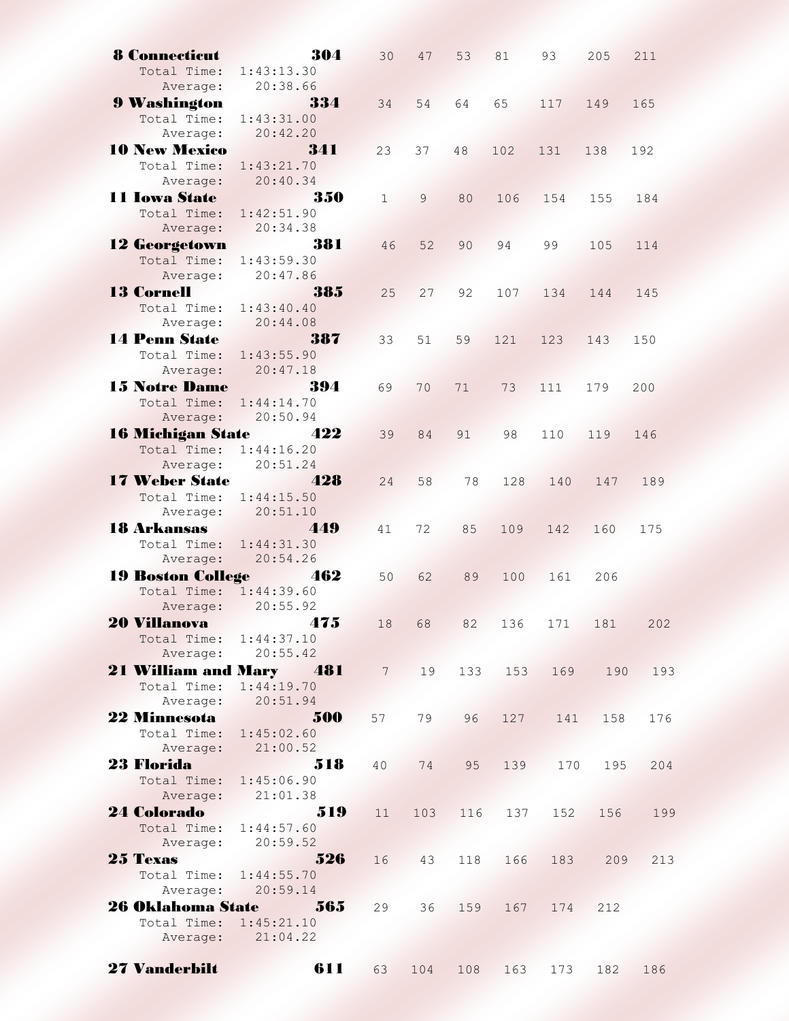| <b>8 Connecticut</b>                             | 304                                                     | 30           | 47    | 53  | 81          | 93          | 205     | 211 |
|--------------------------------------------------|---------------------------------------------------------|--------------|-------|-----|-------------|-------------|---------|-----|
| Total Time:                                      | 1:43:13.30                                              |              |       |     |             |             |         |     |
| Average:                                         | 20:38.66<br>14                                          |              |       |     |             |             |         |     |
| <b>9 Washington</b>                              | 334                                                     | 34           | 54    | 64  | 65          | 117         | 149     | 165 |
| Total Time:                                      | 1:43:31.00                                              |              |       |     |             |             |         |     |
| Average:                                         | 20:42.20                                                |              |       |     |             |             |         |     |
| <b>10 New Mexico</b>                             | 341                                                     | 23           | 37    | 48  | 102         | 131         | 138     | 192 |
| Total Time:                                      | 1:43:21.70                                              |              |       |     |             |             |         |     |
| Average:                                         | 20:40.34                                                |              |       |     |             |             |         |     |
| 11 Iowa State                                    | 350                                                     | $\mathbf{1}$ | 9     | 80  | 106         | 154         | 155     | 184 |
| Total Time:                                      | 1:42:51.90                                              |              |       |     |             |             |         |     |
| Average:                                         | 20:34.38                                                |              |       |     |             |             |         |     |
| <b>12 Georgetown</b>                             | 381<br><u> Santa Sala</u>                               | 46           | 52    | 90  | 94          | 99          | 105     | 114 |
| Total Time:                                      | 1:43:59.30                                              |              |       |     |             |             |         |     |
| Average: 20:47.86                                |                                                         |              |       |     |             |             |         |     |
| <b>13 Cornell</b>                                | 385                                                     | 25           | 27    | 92  | 107         | 134         | 144     | 145 |
| Total Time: 1:43:40.40                           |                                                         |              |       |     |             |             |         |     |
|                                                  | Average: 20:44.08                                       |              |       |     |             |             |         |     |
| <b>14 Penn State</b>                             | 387                                                     | 33           | 51    | 59  | 121         | 123         | 143     | 150 |
| Total Time: 1:43:55.90                           |                                                         |              |       |     |             |             |         |     |
|                                                  | Average: 20:47.18                                       |              |       |     |             |             |         |     |
| <b>15 Notre Dame</b>                             | <u>Salah di Japan</u><br>394                            | 69           | 70    | 71  | 73          | 111         | 179     | 200 |
| Total Time: 1:44:14.70                           |                                                         |              |       |     |             |             |         |     |
| Average: 20:50.94                                |                                                         |              |       |     |             |             |         |     |
| 16 Michigan State 422                            |                                                         | 39           | 84    | 91  | 98          | 110         | 119     | 146 |
| Total Time: 1:44:16.20                           |                                                         |              |       |     |             |             |         |     |
| Average: 20:51.24                                |                                                         |              |       |     |             |             |         |     |
| 17 Weber State 428                               |                                                         | 24           | 58    | 78  | 128         | 140         | 147     | 189 |
| Total Time: 1:44:15.50                           |                                                         |              |       |     |             |             |         |     |
| Average:                                         | 20:51.10                                                |              |       |     |             |             |         |     |
| 18 Arkansas 449                                  |                                                         | 41           | 72    | 85  | 109         | 142         | 160     | 175 |
| Total Time: 1:44:31.30                           |                                                         |              |       |     |             |             |         |     |
|                                                  | Average: 20:54.26                                       |              |       |     |             |             |         |     |
| 19 Boston College 462                            |                                                         | 50           | 62    | 89  | 100         | 161         | 206     |     |
| Total Time: 1:44:39.60                           |                                                         |              |       |     |             |             |         |     |
| Average:                                         | 20:55.92                                                |              |       |     |             |             |         |     |
| 20 Villanova <i>175</i>                          |                                                         | 18           | 68    | 82  | 136         |             | 171 181 | 202 |
| Total Time: 1:44:37.10                           |                                                         |              |       |     |             |             |         |     |
|                                                  | Average: 20:55.42                                       |              |       |     |             |             |         |     |
|                                                  | <b>21 William and Mary 481</b> 7 19 133 153 169 190 193 |              |       |     |             |             |         |     |
| Total Time: 1:44:19.70                           |                                                         |              |       |     |             |             |         |     |
| Average: 20:51.94                                |                                                         |              |       |     |             |             |         |     |
|                                                  | 22 Minnesota 500                                        |              | 57 79 | 96  |             | 127 141 158 |         | 176 |
|                                                  | Total Time: 1:45:02.60                                  |              |       |     |             |             |         |     |
|                                                  | Average: 21:00.52                                       |              |       |     |             |             |         |     |
| 23 Florida <b>Marc</b>                           | 518                                                     |              | 40 74 | 95  | 139         | 170         | 195     | 204 |
| Total Time: 1:45:06.90                           |                                                         |              |       |     |             |             |         |     |
| Average: 21:01.38                                |                                                         |              |       |     |             |             |         |     |
|                                                  |                                                         | 11           |       |     | 103 116 137 | 152         | 156     | 199 |
| <b>24 Colorado</b> 519<br>Total Time: 1:44:57.60 |                                                         |              |       |     |             |             |         |     |
| Average: 20:59.52                                |                                                         |              |       |     |             |             |         |     |
|                                                  | $25$ Texas $526$                                        |              | 16 43 | 118 | 166         |             | 183 209 | 213 |
| Total Time: 1:44:55.70                           |                                                         |              |       |     |             |             |         |     |
|                                                  | Average: 20:59.14                                       |              |       |     |             |             |         |     |
|                                                  | <b>26 Oklahoma State 565</b>                            | 29           |       |     | 36 159 167  | 174         | 212     |     |
| Total Time: 1:45:21.10                           |                                                         |              |       |     |             |             |         |     |
|                                                  | Average: 21:04.22                                       |              |       |     |             |             |         |     |
|                                                  |                                                         |              |       |     |             |             |         |     |
| <b>27 Vanderbilt</b>                             | 611                                                     | 63           | 104   | 108 | 163         | 173         | 182     | 186 |